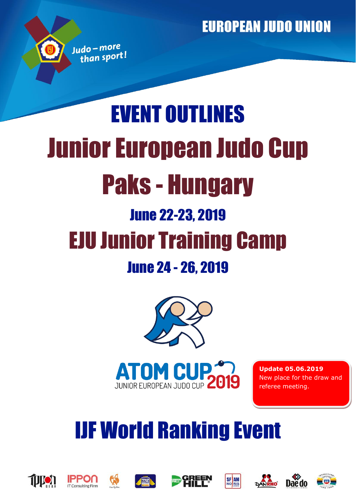# EVENT OUTLINES Junior European Judo Cup Paks - Hungary June 22-23, 2019 EJU Junior Training Camp June 24 - 26, 2019





**Update 05.06.2019** New place for the draw and referee meeting.

# IJF World Ranking Event





Judo-more than sport!









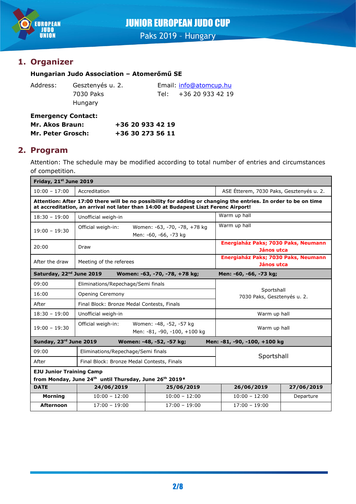

# JUNIOR EUROPEAN JUDO CUP

Paks 2019 - Hungary

# **1. Organizer**

## **Hungarian Judo Association – Atomerőmű SE**

| Address: | G |
|----------|---|
|          | 7 |
|          | н |

lungary

Gesztenyés u. 2. Email: [info@atomcup.hu](mailto:info@atomcup.hu) 7030 Paks Tel: +36 20 933 42 19

**Emergency Contact: Mr. Akos Braun: +36 20 933 42 19 Mr. Peter Grosch: +36 30 273 56 11**

## **2. Program**

Attention: The schedule may be modified according to total number of entries and circumstances of competition.

| Friday, 21st June 2019                                                                          |                                                                               |                                                                                                                                                                                                       |                                                   |            |
|-------------------------------------------------------------------------------------------------|-------------------------------------------------------------------------------|-------------------------------------------------------------------------------------------------------------------------------------------------------------------------------------------------------|---------------------------------------------------|------------|
| $10:00 - 17:00$                                                                                 | Accreditation                                                                 |                                                                                                                                                                                                       | ASE Étterem, 7030 Paks, Gesztenyés u. 2.          |            |
|                                                                                                 |                                                                               | Attention: After 17:00 there will be no possibility for adding or changing the entries. In order to be on time<br>at accreditation, an arrival not later than 14:00 at Budapest Liszt Ferenc Airport! |                                                   |            |
| $18:30 - 19:00$                                                                                 | Unofficial weigh-in                                                           |                                                                                                                                                                                                       | Warm up hall                                      |            |
| $19:00 - 19:30$                                                                                 | Official weigh-in:                                                            | Women: -63, -70, -78, +78 kg<br>Men: -60, -66, -73 kg                                                                                                                                                 | Warm up hall                                      |            |
| 20:00                                                                                           | Draw                                                                          |                                                                                                                                                                                                       | Energiaház Paks; 7030 Paks, Neumann<br>János utca |            |
| After the draw                                                                                  | Meeting of the referees                                                       |                                                                                                                                                                                                       | Energiaház Paks; 7030 Paks, Neumann<br>János utca |            |
| Saturday, 22 <sup>nd</sup> June 2019<br>Women: -63, -70, -78, +78 kg;<br>Men: -60, -66, -73 kg; |                                                                               |                                                                                                                                                                                                       |                                                   |            |
| 09:00                                                                                           | Eliminations/Repechage/Semi finals                                            |                                                                                                                                                                                                       |                                                   |            |
| 16:00                                                                                           | Opening Ceremony                                                              |                                                                                                                                                                                                       | Sportshall<br>7030 Paks, Gesztenyés u. 2.         |            |
| After                                                                                           | Final Block: Bronze Medal Contests, Finals                                    |                                                                                                                                                                                                       |                                                   |            |
| $18:30 - 19:00$                                                                                 | Unofficial weigh-in                                                           |                                                                                                                                                                                                       | Warm up hall                                      |            |
| $19:00 - 19:30$                                                                                 | Official weigh-in:<br>Women: -48, -52, -57 kg<br>Men: -81, -90, -100, +100 kg |                                                                                                                                                                                                       | Warm up hall                                      |            |
| Sunday, 23rd June 2019<br>Men: -81, -90, -100, +100 kg<br>Women: -48, -52, -57 kg;              |                                                                               |                                                                                                                                                                                                       |                                                   |            |
| 09:00                                                                                           | Eliminations/Repechage/Semi finals                                            |                                                                                                                                                                                                       |                                                   |            |
| After                                                                                           | Final Block: Bronze Medal Contests, Finals                                    |                                                                                                                                                                                                       | Sportshall                                        |            |
| <b>EJU Junior Training Camp</b>                                                                 |                                                                               |                                                                                                                                                                                                       |                                                   |            |
| from Monday, June 24th until Thursday, June 26th 2019*                                          |                                                                               |                                                                                                                                                                                                       |                                                   |            |
| <b>DATE</b>                                                                                     | 24/06/2019                                                                    | 25/06/2019                                                                                                                                                                                            | 26/06/2019                                        | 27/06/2019 |
| <b>Morning</b>                                                                                  | $10:00 - 12:00$                                                               | $10:00 - 12:00$                                                                                                                                                                                       | $10:00 - 12:00$                                   | Departure  |
| <b>Afternoon</b>                                                                                | $17:00 - 19:00$                                                               | $17:00 - 19:00$                                                                                                                                                                                       | $17:00 - 19:00$                                   |            |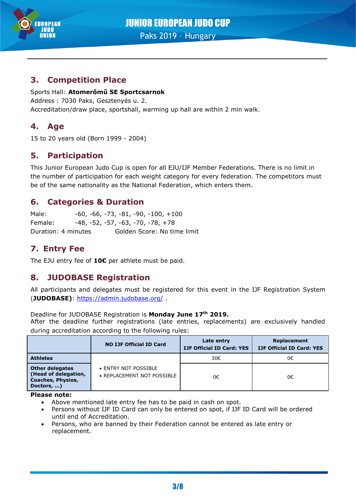

# **3. Competition Place**

## Sports Hall: **Atomerőmű SE Sportcsarnok**

Address : 7030 Paks, Gesztenyés u. 2. Accreditation/draw place, sportshall, warming up hall are within 2 min walk.

# **4. Age**

15 to 20 years old (Born 1999 - 2004)

# **5. Participation**

This Junior European Judo Cup is open for all EJU/IJF Member Federations. There is no limit in the number of participation for each weight category for every federation. The competitors must be of the same nationality as the National Federation, which enters them.

# **6. Categories & Duration**

Male: -60, -66, -73, -81, -90, -100, +100 Female: -48, -52, -57, -63, -70, -78, +78 Duration: 4 minutes Golden Score: No time limit

# **7. Entry Fee**

The EJU entry fee of **10€** per athlete must be paid.

# **8. JUDOBASE Registration**

All participants and delegates must be registered for this event in the IJF Registration System (**JUDOBASE)**:<https://admin.judobase.org/> .

## Deadline for JUDOBASE Registration is **Monday June 17th 2019.**

After the deadline further registrations (late entries, replacements) are exclusively handled during accreditation according to the following rules:

|                                                                                          | <b>NO IJF Official ID Card</b>                     | Late entry<br><b>IJF Official ID Card: YES</b> | Replacement<br><b>IJF Official ID Card: YES</b> |
|------------------------------------------------------------------------------------------|----------------------------------------------------|------------------------------------------------|-------------------------------------------------|
| <b>Athletes</b>                                                                          |                                                    | 30€                                            | 0€                                              |
| <b>Other delegates</b><br>(Head of delegation,<br><b>Coaches, Physios,</b><br>Doctors, ) | • ENTRY NOT POSSIBLE<br>• REPLACEMENT NOT POSSIBLE | 0€                                             | 0€                                              |

**Please note:**

- Above mentioned late entry fee has to be paid in cash on spot.
- Persons without IJF ID Card can only be entered on spot, if IJF ID Card will be ordered until end of Accreditation.
- Persons, who are banned by their Federation cannot be entered as late entry or replacement.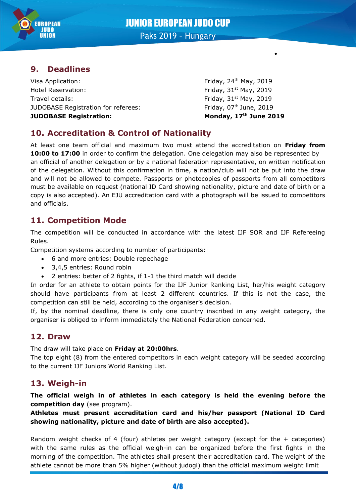



Paks 2019 – Hungary

# **9. Deadlines**

Visa Application: The Contraction of the Contraction of the Contraction of the Friday, 24<sup>th</sup> May, 2019 Hotel Reservation: The Control of the Second State of the Friday, 31st May, 2019 Travel details: Travel details: Travel details: Friday, 31st May, 2019 JUDOBASE Registration for referees: Friday, 07<sup>th</sup> June, 2019 **JUDOBASE Registration: Monday, 17th June 2019**

•

# **10. Accreditation & Control of Nationality**

At least one team official and maximum two must attend the accreditation on **Friday from**  10:00 to 17:00 in order to confirm the delegation. One delegation may also be represented by an official of another delegation or by a national federation representative, on written notification of the delegation. Without this confirmation in time, a nation/club will not be put into the draw and will not be allowed to compete. Passports or photocopies of passports from all competitors must be available on request (national ID Card showing nationality, picture and date of birth or a copy is also accepted). An EJU accreditation card with a photograph will be issued to competitors and officials.

# **11. Competition Mode**

The competition will be conducted in accordance with the latest IJF SOR and IJF Refereeing Rules.

Competition systems according to number of participants:

- 6 and more entries: Double repechage
- 3,4,5 entries: Round robin
- 2 entries: better of 2 fights, if 1-1 the third match will decide

In order for an athlete to obtain points for the IJF Junior Ranking List, her/his weight category should have participants from at least 2 different countries. If this is not the case, the competition can still be held, according to the organiser's decision.

If, by the nominal deadline, there is only one country inscribed in any weight category, the organiser is obliged to inform immediately the National Federation concerned.

## **12. Draw**

The draw will take place on **Friday at 20:00hrs**.

The top eight (8) from the entered competitors in each weight category will be seeded according to the current IJF Juniors World Ranking List.

# **13. Weigh-in**

**The official weigh in of athletes in each category is held the evening before the competition day** (see program).

**Athletes must present accreditation card and his/her passport (National ID Card showing nationality, picture and date of birth are also accepted).**

Random weight checks of 4 (four) athletes per weight category (except for the + categories) with the same rules as the official weigh-in can be organized before the first fights in the morning of the competition. The athletes shall present their accreditation card. The weight of the athlete cannot be more than 5% higher (without judogi) than the official maximum weight limit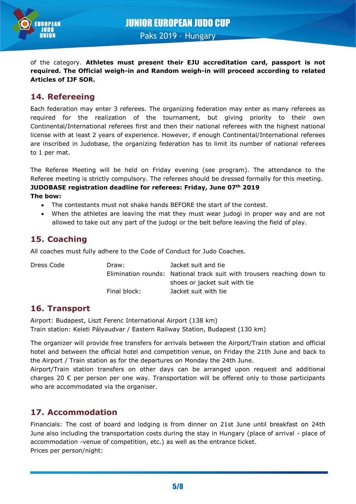

of the category. **Athletes must present their EJU accreditation card, passport is not required. The Official weigh-in and Random weigh-in will proceed according to related Articles of IJF SOR.**

# **14. Refereeing**

Each federation may enter 3 referees. The organizing federation may enter as many referees as required for the realization of the tournament, but giving priority to their own Continental/International referees first and then their national referees with the highest national license with at least 2 years of experience. However, if enough Continental/International referees are inscribed in Judobase, the organizing federation has to limit its number of national referees to 1 per mat.

The Referee Meeting will be held on Friday evening (see program). The attendance to the Referee meeting is strictly compulsory. The referees should be dressed formally for this meeting. **JUDOBASE registration deadline for referees: Friday, June 07th 2019**

## **The bow:**

- The contestants must not shake hands BEFORE the start of the contest.
- When the athletes are leaving the mat they must wear judogi in proper way and are not allowed to take out any part of the judogi or the belt before leaving the field of play.

## **15. Coaching**

All coaches must fully adhere to the Code of Conduct for Judo Coaches.

| Dress Code | Draw:        | Jacket suit and tie                                                    |
|------------|--------------|------------------------------------------------------------------------|
|            |              | Elimination rounds: National track suit with trousers reaching down to |
|            |              | shoes or jacket suit with tie                                          |
|            | Final block: | Jacket suit with tie                                                   |

# **16. Transport**

Airport: Budapest, Liszt Ferenc International Airport (138 km) Train station: Keleti Pályaudvar / Eastern Railway Station, Budapest (130 km)

The organizer will provide free transfers for arrivals between the Airport/Train station and official hotel and between the official hotel and competition venue, on Friday the 21th June and back to the Airport / Train station as for the departures on Monday the 24th June.

Airport/Train station transfers on other days can be arranged upon request and additional charges 20  $\epsilon$  per person per one way. Transportation will be offered only to those participants who are accommodated via the organiser.

## **17. Accommodation**

Financials: The cost of board and lodging is from dinner on 21st June until breakfast on 24th June also including the transportation costs during the stay in Hungary (place of arrival - place of accommodation -venue of competition, etc.) as well as the entrance ticket. Prices per person/night: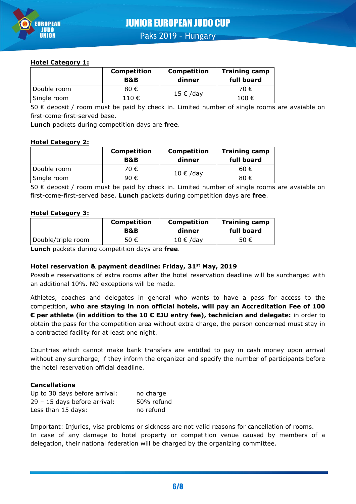

Paks 2019 – Hungary

## **Hotel Category 1:**

|             | <b>Competition</b><br><b>B&amp;B</b> | <b>Competition</b><br>dinner | <b>Training camp</b><br>full board |
|-------------|--------------------------------------|------------------------------|------------------------------------|
| Double room | 80€                                  | 15 € /day                    | 70 €                               |
| Single room | 110 €                                |                              | 100 €                              |

50 € deposit / room must be paid by check in. Limited number of single rooms are avaiable on first-come-first-served base.

**Lunch** packets during competition days are **free**.

### **Hotel Category 2:**

|             | <b>Competition</b><br><b>B&amp;B</b> | <b>Competition</b><br>dinner | <b>Training camp</b><br>full board |
|-------------|--------------------------------------|------------------------------|------------------------------------|
| Double room | 70€                                  | 10 € /day                    | 60€                                |
| Single room | 90€                                  |                              | 80€                                |

50 € deposit / room must be paid by check in. Limited number of single rooms are avaiable on first-come-first-served base. **Lunch** packets during competition days are **free**.

### **Hotel Category 3:**

|                    | <b>Competition</b> | <b>Competition</b> | <b>Training camp</b> |
|--------------------|--------------------|--------------------|----------------------|
|                    | B&B                | dinner             | full board           |
| Double/triple room | 50 €               | $10 \in /day$      | 50 €                 |

**Lunch** packets during competition days are **free**.

## **Hotel reservation & payment deadline: Friday, 31st May, 2019**

Possible reservations of extra rooms after the hotel reservation deadline will be surcharged with an additional 10%. NO exceptions will be made.

Athletes, coaches and delegates in general who wants to have a pass for access to the competition, **who are staying in non official hotels, will pay an Accreditation Fee of 100 € per athlete (in addition to the 10 € EJU entry fee), technician and delegate:** in order to obtain the pass for the competition area without extra charge, the person concerned must stay in a contracted facility for at least one night.

Countries which cannot make bank transfers are entitled to pay in cash money upon arrival without any surcharge, if they inform the organizer and specify the number of participants before the hotel reservation official deadline.

## **Cancellations**

| Up to 30 days before arrival: | no charge  |
|-------------------------------|------------|
| 29 - 15 days before arrival:  | 50% refund |
| Less than 15 days:            | no refund  |

Important: Injuries, visa problems or sickness are not valid reasons for cancellation of rooms. In case of any damage to hotel property or competition venue caused by members of a delegation, their national federation will be charged by the organizing committee.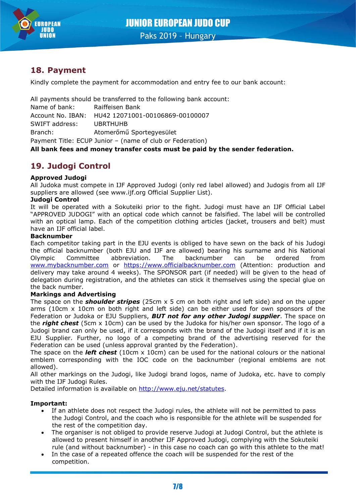

## **18. Payment**

Kindly complete the payment for accommodation and entry fee to our bank account:

All payments should be transferred to the following bank account:

Name of bank: Raiffeisen Bank Account No. IBAN: HU42 12071001-00106869-00100007 SWIFT address: UBRTHUHB Branch: Atomerőmű Sportegyesület Payment Title: ECUP Junior – (name of club or Federation)

**All bank fees and money transfer costs must be paid by the sender federation.**

# **19. Judogi Control**

### **Approved Judogi**

All Judoka must compete in IJF Approved Judogi (only red label allowed) and Judogis from all IJF suppliers are allowed (see www.ijf.org Official Supplier List).

### **Judogi Control**

It will be operated with a Sokuteiki prior to the fight. Judogi must have an IJF Official Label "APPROVED JUDOGI" with an optical code which cannot be falsified. The label will be controlled with an optical lamp. Each of the competition clothing articles (jacket, trousers and belt) must have an IJF official label.

### **Backnumber**

Each competitor taking part in the EJU events is obliged to have sewn on the back of his Judogi the official backnumber (both EJU and IJF are allowed) bearing his surname and his National Olympic Committee abbreviation. The backnumber can be ordered from [www.mybacknumber.com](file:///C:/alla_h/Hoesl/AppData/Local/POR%20Coimbra/www.mybacknumber.com) or [https://www.officialbacknumber.com](https://www.officialbacknumber.com/)</u> (Attention: production and delivery may take around 4 weeks). The SPONSOR part (if needed) will be given to the head of delegation during registration, and the athletes can stick it themselves using the special glue on the back number.

### **Markings and Advertising**

The space on the *shoulder stripes* (25cm x 5 cm on both right and left side) and on the upper arms (10cm x 10cm on both right and left side) can be either used for own sponsors of the Federation or Judoka or EJU Suppliers, *BUT not for any other Judogi supplier*. The space on the *right chest* (5cm x 10cm) can be used by the Judoka for his/her own sponsor. The logo of a Judogi brand can only be used, if it corresponds with the brand of the Judogi itself and if it is an EJU Supplier. Further, no logo of a competing brand of the advertising reserved for the Federation can be used (unless approval granted by the Federation).

The space on the *left chest* (10cm x 10cm) can be used for the national colours or the national emblem corresponding with the IOC code on the backnumber (regional emblems are not allowed).

All other markings on the Judogi, like Judogi brand logos, name of Judoka, etc. have to comply with the IJF Judogi Rules.

Detailed information is available on [http://www.eju.net/statutes.](http://www.eju.net/statutes)

### **Important:**

- If an athlete does not respect the Judogi rules, the athlete will not be permitted to pass the Judogi Control, and the coach who is responsible for the athlete will be suspended for the rest of the competition day.
- The organiser is not obliged to provide reserve Judogi at Judogi Control, but the athlete is allowed to present himself in another IJF Approved Judogi, complying with the Sokuteiki rule (and without backnumber) - in this case no coach can go with this athlete to the mat!
- In the case of a repeated offence the coach will be suspended for the rest of the competition.